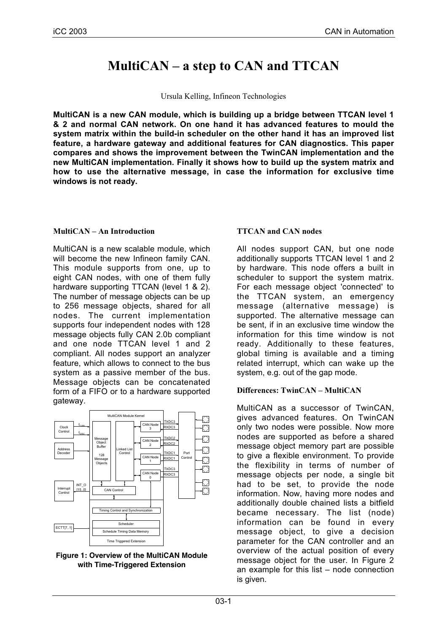# **MultiCAN – a step to CAN and TTCAN**

Ursula Kelling, Infineon Technologies

**MultiCAN is a new CAN module, which is building up a bridge between TTCAN level 1 & 2 and normal CAN network. On one hand it has advanced features to mould the system matrix within the build-in scheduler on the other hand it has an improved list feature, a hardware gateway and additional features for CAN diagnostics. This paper compares and shows the improvement between the TwinCAN implementation and the new MultiCAN implementation. Finally it shows how to build up the system matrix and how to use the alternative message, in case the information for exclusive time windows is not ready.**

# **MultiCAN – An Introduction**

MultiCAN is a new scalable module, which will become the new Infineon family CAN. This module supports from one, up to eight CAN nodes, with one of them fully hardware supporting TTCAN (level 1 & 2). The number of message objects can be up to 256 message objects, shared for all nodes. The current implementation supports four independent nodes with 128 message objects fully CAN 2.0b compliant and one node TTCAN level 1 and 2 compliant. All nodes support an analyzer feature, which allows to connect to the bus system as a passive member of the bus. Message objects can be concatenated form of a FIFO or to a hardware supported gateway.



**Figure 1: Overview of the MultiCAN Module with Time-Triggered Extension**

# **TTCAN and CAN nodes**

All nodes support CAN, but one node additionally supports TTCAN level 1 and 2 by hardware. This node offers a built in scheduler to support the system matrix. For each message object 'connected' to the TTCAN system, an emergency message (alternative message) is supported. The alternative message can be sent, if in an exclusive time window the information for this time window is not ready. Additionally to these features, global timing is available and a timing related interrupt, which can wake up the system, e.g. out of the gap mode.

# **Differences: TwinCAN – MultiCAN**

MultiCAN as a successor of TwinCAN, gives advanced features. On TwinCAN only two nodes were possible. Now more nodes are supported as before a shared message object memory part are possible to give a flexible environment. To provide the flexibility in terms of number of message objects per node, a single bit had to be set, to provide the node information. Now, having more nodes and additionally double chained lists a bitfield became necessary. The list (node) information can be found in every message object, to give a decision parameter for the CAN controller and an overview of the actual position of every message object for the user. In Figure 2 an example for this list – node connection is given.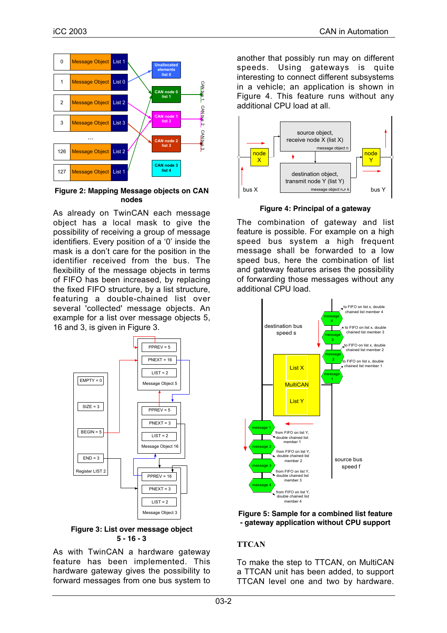

## **Figure 2: Mapping Message objects on CAN nodes**

As already on TwinCAN each message object has a local mask to give the possibility of receiving a group of message identifiers. Every position of a '0' inside the mask is a don't care for the position in the identifier received from the bus. The flexibility of the message objects in terms of FIFO has been increased, by replacing the fixed FIFO structure, by a list structure, featuring a double-chained list over several 'collected' message objects. An example for a list over message objects 5, 16 and 3, is given in Figure 3.



**Figure 3: List over message object 5 - 16 - 3**

As with TwinCAN a hardware gateway feature has been implemented. This hardware gateway gives the possibility to forward messages from one bus system to

another that possibly run may on different speeds. Using gateways is quite interesting to connect different subsystems in a vehicle; an application is shown in Figure 4. This feature runs without any additional CPU load at all.



**Figure 4: Principal of a gateway**

The combination of gateway and list feature is possible. For example on a high speed bus system a high frequent message shall be forwarded to a low speed bus, here the combination of list and gateway features arises the possibility of forwarding those messages without any additional CPU load.



#### **Figure 5: Sample for a combined list feature - gateway application without CPU support**

# **TTCAN**

To make the step to TTCAN, on MultiCAN a TTCAN unit has been added, to support TTCAN level one and two by hardware.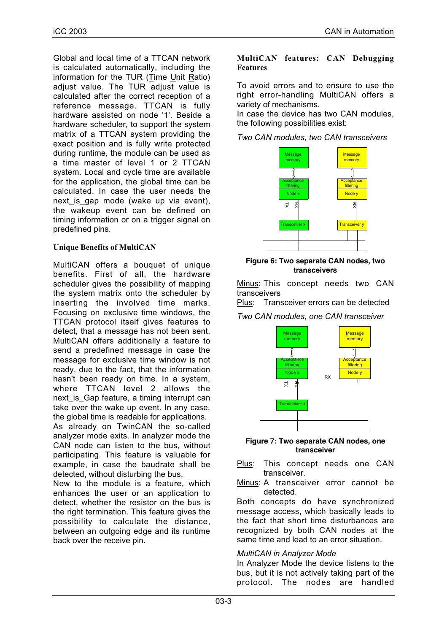Global and local time of a TTCAN network is calculated automatically, including the information for the TUR (Time Unit Ratio) adjust value. The TUR adjust value is calculated after the correct reception of a reference message. TTCAN is fully hardware assisted on node '1'. Beside a hardware scheduler, to support the system matrix of a TTCAN system providing the exact position and is fully write protected during runtime, the module can be used as a time master of level 1 or 2 TTCAN system. Local and cycle time are available for the application, the global time can be calculated. In case the user needs the next is gap mode (wake up via event), the wakeup event can be defined on timing information or on a trigger signal on predefined pins.

# **Unique Benefits of MultiCAN**

MultiCAN offers a bouquet of unique benefits. First of all, the hardware scheduler gives the possibility of mapping the system matrix onto the scheduler by inserting the involved time marks. Focusing on exclusive time windows, the TTCAN protocol itself gives features to detect, that a message has not been sent. MultiCAN offers additionally a feature to send a predefined message in case the message for exclusive time window is not ready, due to the fact, that the information hasn't been ready on time. In a system, where TTCAN level 2 allows the next is Gap feature, a timing interrupt can take over the wake up event. In any case, the global time is readable for applications.

As already on TwinCAN the so-called analyzer mode exits. In analyzer mode the CAN node can listen to the bus, without participating. This feature is valuable for example, in case the baudrate shall be detected, without disturbing the bus.

New to the module is a feature, which enhances the user or an application to detect, whether the resistor on the bus is the right termination. This feature gives the possibility to calculate the distance, between an outgoing edge and its runtime back over the receive pin.

## **MultiCAN features: CAN Debugging Features**

To avoid errors and to ensure to use the right error-handling MultiCAN offers a variety of mechanisms.

In case the device has two CAN modules, the following possibilities exist:

*Two CAN modules, two CAN transceivers*



**Figure 6: Two separate CAN nodes, two transceivers**

Minus: This concept needs two CAN transceivers

Plus: Transceiver errors can be detected

*Two CAN modules, one CAN transceiver*



#### **Figure 7: Two separate CAN nodes, one transceiver**

Plus: This concept needs one CAN transceiver.

Minus: A transceiver error cannot be detected.

Both concepts do have synchronized message access, which basically leads to the fact that short time disturbances are recognized by both CAN nodes at the same time and lead to an error situation.

## *MultiCAN in Analyzer Mode*

In Analyzer Mode the device listens to the bus, but it is not actively taking part of the protocol. The nodes are handled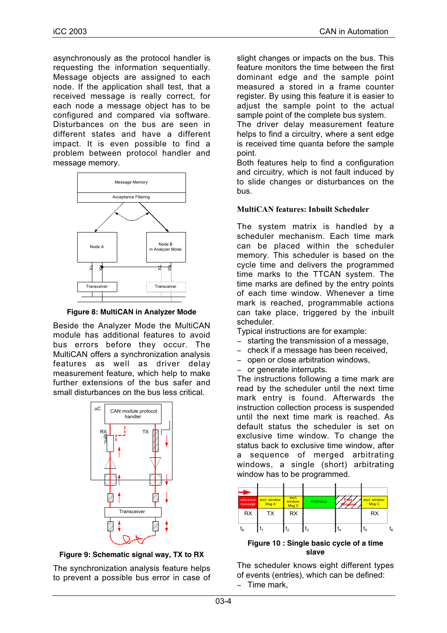asynchronously as the protocol handler is requesting the information sequentially. Message objects are assigned to each node. If the application shall test, that a received message is really correct, for each node a message object has to be configured and compared via software. Disturbances on the bus are seen in different states and have a different impact. It is even possible to find a problem between protocol handler and message memory.



**Figure 8: MultiCAN in Analyzer Mode**

Beside the Analyzer Mode the MultiCAN module has additional features to avoid bus errors before they occur. The MultiCAN offers a synchronization analysis features as well as driver delay measurement feature, which help to make further extensions of the bus safer and small disturbances on the bus less critical.



**Figure 9: Schematic signal way, TX to RX**

The synchronization analysis feature helps to prevent a possible bus error in case of slight changes or impacts on the bus. This feature monitors the time between the first dominant edge and the sample point measured a stored in a frame counter register. By using this feature it is easier to adjust the sample point to the actual sample point of the complete bus system.

The driver delay measurement feature helps to find a circuitry, where a sent edge is received time quanta before the sample point.

Both features help to find a configuration and circuitry, which is not fault induced by to slide changes or disturbances on the bus.

# **MultiCAN features: Inbuilt Scheduler**

The system matrix is handled by a scheduler mechanism. Each time mark can be placed within the scheduler memory. This scheduler is based on the cycle time and delivers the programmed time marks to the TTCAN system. The time marks are defined by the entry points of each time window. Whenever a time mark is reached, programmable actions can take place, triggered by the inbuilt scheduler.

Typical instructions are for example:

- − starting the transmission of a message,
- − check if a message has been received,
- − open or close arbitration windows,
- − or generate interrupts.

The instructions following a time mark are read by the scheduler until the next time mark entry is found. Afterwards the instruction collection process is suspended until the next time mark is reached. As default status the scheduler is set on exclusive time window. To change the status back to exclusive time window, after a sequence of merged arbitrating windows, a single (short) arbitrating window has to be programmed.



**Figure 10 : Single basic cycle of a time slave**

The scheduler knows eight different types of events (entries), which can be defined: − Time mark,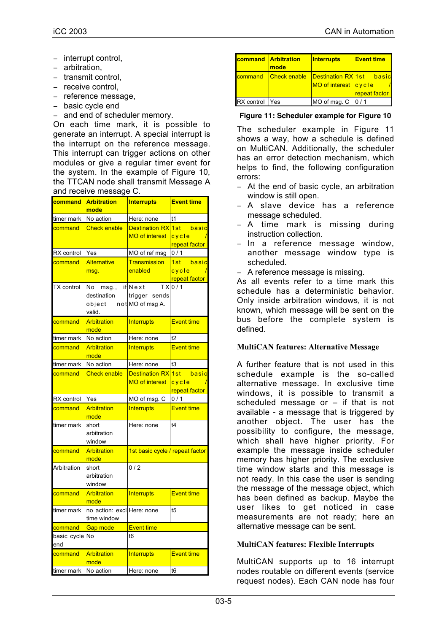- − interrupt control,
- − arbitration,
- − transmit control,
- − receive control,
- − reference message,
- − basic cycle end
- − and end of scheduler memory.

On each time mark, it is possible to generate an interrupt. A special interrupt is the interrupt on the reference message. This interrupt can trigger actions on other modules or give a regular timer event for the system. In the example of Figure 10, the TTCAN node shall transmit Message A and receive message C.

| <b>command</b>        | <b>Arbitration</b><br>mode                                  | <b>Interrupts</b>                           | <b>Event time</b>                      |
|-----------------------|-------------------------------------------------------------|---------------------------------------------|----------------------------------------|
| timer mark            | No action                                                   | Here: none                                  | t1                                     |
| command               | <b>Check enable</b>                                         | Destination RX 1st<br><b>MO of interest</b> | basic<br>cycle<br>repeat factor        |
| RX control            | Yes                                                         | MO of ref msg                               | 0/1                                    |
| command               | <b>Alternative</b><br>msq.                                  | <b>Transmission</b><br>enabled              | basic<br>1st<br>cycle<br>repeat factor |
| <b>TX</b> control     | Nomsg.,<br>destination<br>object not MO of msg A.<br>valid. | $if$ Next<br>trigger sends                  | $TX$ <sub>0/1</sub>                    |
| command               | Arbitration<br>mode                                         | <b>Interrupts</b>                           | <b>Event time</b>                      |
| timer mark            | No action                                                   | Here: none                                  | t2                                     |
| command               | Arbitration<br>mode                                         | <b>Interrupts</b>                           | <b>Event time</b>                      |
| timer mark            | No action                                                   | Here: none                                  | t3                                     |
| command               | <b>Check enable</b>                                         | Destination RX 1st<br><b>MO of interest</b> | basic<br>cycle<br>repeat factor        |
| RX control            | Yes                                                         | MO of msg. C                                | 0/1                                    |
| command               | Arbitration<br>mode                                         | <b>Interrupts</b>                           | <b>Event time</b>                      |
| timer mark            | short<br>arbitration<br>window                              | Here: none                                  | t4                                     |
| command               | Arbitration<br>mode                                         | 1st basic cycle / repeat factor             |                                        |
| Arbitration           | short<br>arbitration<br>window                              | 0/2                                         |                                        |
| command               | Arbitration<br>mode                                         | <b>Interrupts</b>                           | <b>Event time</b>                      |
| timer mark            | no action: excliHere: none<br>time window                   |                                             | t5                                     |
| command               | <b>Gap mode</b>                                             | <b>Event time</b>                           |                                        |
| basic cycle No<br>end |                                                             | t <sub>6</sub>                              |                                        |
| command               | <b>Arbitration</b><br>mode                                  | <b>Interrupts</b>                           | <b>Event time</b>                      |
| timer mark            | No action                                                   | Here: none                                  | t <sub>6</sub>                         |

|            | <b>command Arbitration</b><br>mode | <b>Interrupts</b>                                      | <b>Event time</b> |
|------------|------------------------------------|--------------------------------------------------------|-------------------|
|            | command Check enable               | <b>Destination RX1st</b> basic<br>MO of interest cycle | repeat factor     |
| RX control | Yes                                | MO of msg. C   0 / 1                                   |                   |

#### **Figure 11: Scheduler example for Figure 10**

The scheduler example in Figure 11 shows a way, how a schedule is defined on MultiCAN. Additionally, the scheduler has an error detection mechanism, which helps to find, the following configuration errors:

- − At the end of basic cycle, an arbitration window is still open.
- − A slave device has a reference message scheduled.
- − A time mark is missing during instruction collection.
- − In a reference message window, another message window type is scheduled.
- − A reference message is missing.

As all events refer to a time mark this schedule has a deterministic behavior. Only inside arbitration windows, it is not known, which message will be sent on the bus before the complete system is defined.

## **MultiCAN features: Alternative Message**

A further feature that is not used in this schedule example is the so-called alternative message. In exclusive time windows, it is possible to transmit a scheduled message or – if that is not available - a message that is triggered by another object. The user has the possibility to configure, the message, which shall have higher priority. For example the message inside scheduler memory has higher priority. The exclusive time window starts and this message is not ready. In this case the user is sending the message of the message object, which has been defined as backup. Maybe the user likes to get noticed in case measurements are not ready; here an alternative message can be sent.

## **MultiCAN features: Flexible Interrupts**

MultiCAN supports up to 16 interrupt nodes routable on different events (service request nodes). Each CAN node has four